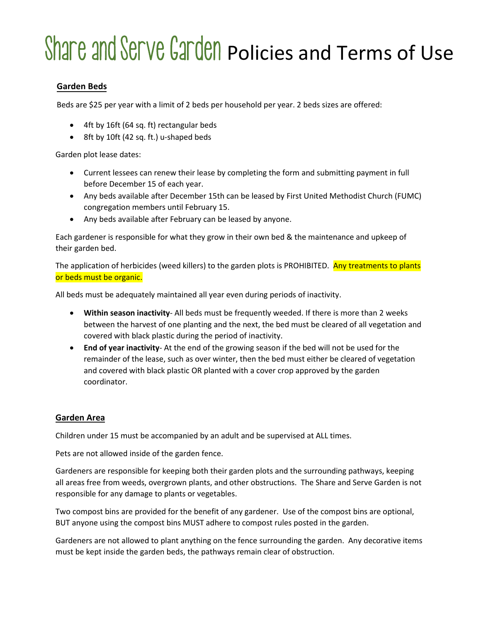# Share and Serve Garden Policies and Terms of Use

# **Garden Beds**

Beds are \$25 per year with a limit of 2 beds per household per year. 2 beds sizes are offered:

- 4ft by 16ft (64 sq. ft) rectangular beds
- 8ft by 10ft (42 sq. ft.) u-shaped beds

Garden plot lease dates:

- Current lessees can renew their lease by completing the form and submitting payment in full before December 15 of each year.
- Any beds available after December 15th can be leased by First United Methodist Church (FUMC) congregation members until February 15.
- Any beds available after February can be leased by anyone.

Each gardener is responsible for what they grow in their own bed & the maintenance and upkeep of their garden bed.

The application of herbicides (weed killers) to the garden plots is PROHIBITED. Any treatments to plants or beds must be organic.

All beds must be adequately maintained all year even during periods of inactivity.

- **Within season inactivity** All beds must be frequently weeded. If there is more than 2 weeks between the harvest of one planting and the next, the bed must be cleared of all vegetation and covered with black plastic during the period of inactivity.
- **End of year inactivity** At the end of the growing season if the bed will not be used for the remainder of the lease, such as over winter, then the bed must either be cleared of vegetation and covered with black plastic OR planted with a cover crop approved by the garden coordinator.

## **Garden Area**

Children under 15 must be accompanied by an adult and be supervised at ALL times.

Pets are not allowed inside of the garden fence.

Gardeners are responsible for keeping both their garden plots and the surrounding pathways, keeping all areas free from weeds, overgrown plants, and other obstructions. The Share and Serve Garden is not responsible for any damage to plants or vegetables.

Two compost bins are provided for the benefit of any gardener. Use of the compost bins are optional, BUT anyone using the compost bins MUST adhere to compost rules posted in the garden.

Gardeners are not allowed to plant anything on the fence surrounding the garden. Any decorative items must be kept inside the garden beds, the pathways remain clear of obstruction.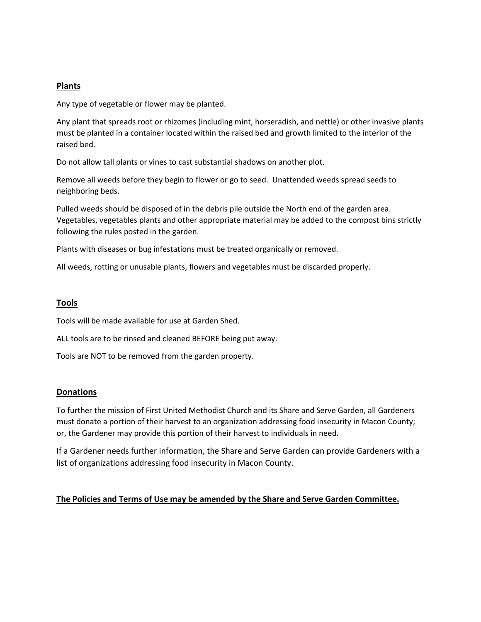## **Plants**

Any type of vegetable or flower may be planted.

Any plant that spreads root or rhizomes (including mint, horseradish, and nettle) or other invasive plants must be planted in a container located within the raised bed and growth limited to the interior of the raised bed.

Do not allow tall plants or vines to cast substantial shadows on another plot.

Remove all weeds before they begin to flower or go to seed. Unattended weeds spread seeds to neighboring beds.

Pulled weeds should be disposed of in the debris pile outside the North end of the garden area. Vegetables, vegetables plants and other appropriate material may be added to the compost bins strictly following the rules posted in the garden.

Plants with diseases or bug infestations must be treated organically or removed.

All weeds, rotting or unusable plants, flowers and vegetables must be discarded properly.

## **Tools**

Tools will be made available for use at Garden Shed.

ALL tools are to be rinsed and cleaned BEFORE being put away.

Tools are NOT to be removed from the garden property.

## **Donations**

To further the mission of First United Methodist Church and its Share and Serve Garden, all Gardeners must donate a portion of their harvest to an organization addressing food insecurity in Macon County; or, the Gardener may provide this portion of their harvest to individuals in need.

If a Gardener needs further information, the Share and Serve Garden can provide Gardeners with a list of organizations addressing food insecurity in Macon County.

## **The Policies and Terms of Use may be amended by the Share and Serve Garden Committee.**